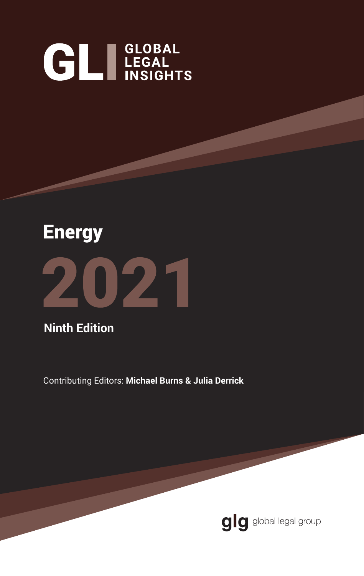# **GL**I LEGAL INSIGHTS



**Ninth Edition**

Contributing Editors: **Michael Burns & Julia Derrick**

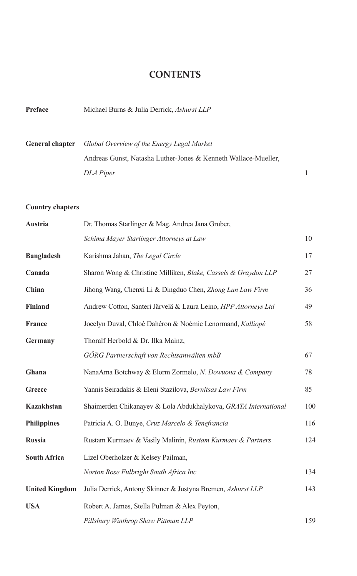#### **CONTENTS**

**Preface** Michael Burns & Julia Derrick, *Ashurst LLP*

| <b>General chapter</b>  | Global Overview of the Energy Legal Market                     |  |
|-------------------------|----------------------------------------------------------------|--|
|                         | Andreas Gunst, Natasha Luther-Jones & Kenneth Wallace-Mueller, |  |
|                         | DLA Piper                                                      |  |
|                         |                                                                |  |
| <b>Country chapters</b> |                                                                |  |
| Austria                 | $\Pr$ Thomas Starlinger & Mag Andrea Jana Gruber               |  |

| Austria               | Dr. Thomas Starlinger & Mag. Andrea Jana Gruber,                |     |
|-----------------------|-----------------------------------------------------------------|-----|
|                       | Schima Mayer Starlinger Attorneys at Law                        | 10  |
| <b>Bangladesh</b>     | Karishma Jahan, The Legal Circle                                | 17  |
| Canada                | Sharon Wong & Christine Milliken, Blake, Cassels & Graydon LLP  | 27  |
| China                 | Jihong Wang, Chenxi Li & Dingduo Chen, Zhong Lun Law Firm       | 36  |
| <b>Finland</b>        | Andrew Cotton, Santeri Järvelä & Laura Leino, HPP Attorneys Ltd | 49  |
| France                | Jocelyn Duval, Chloé Dahéron & Noémie Lenormand, Kalliopé       | 58  |
| Germany               | Thoralf Herbold & Dr. Ilka Mainz,                               |     |
|                       | GÖRG Partnerschaft von Rechtsanwälten mbB                       | 67  |
| Ghana                 | NanaAma Botchway & Elorm Zormelo, N. Dowuona & Company          | 78  |
| Greece                | Yannis Seiradakis & Eleni Stazilova, Bernitsas Law Firm         | 85  |
| <b>Kazakhstan</b>     | Shaimerden Chikanayev & Lola Abdukhalykova, GRATA International | 100 |
| <b>Philippines</b>    | Patricia A. O. Bunye, Cruz Marcelo & Tenefrancia                | 116 |
| <b>Russia</b>         | Rustam Kurmaev & Vasily Malinin, Rustam Kurmaev & Partners      | 124 |
| <b>South Africa</b>   | Lizel Oberholzer & Kelsey Pailman,                              |     |
|                       | Norton Rose Fulbright South Africa Inc                          | 134 |
| <b>United Kingdom</b> | Julia Derrick, Antony Skinner & Justyna Bremen, Ashurst LLP     | 143 |
| <b>USA</b>            | Robert A. James, Stella Pulman & Alex Peyton,                   |     |
|                       | Pillsbury Winthrop Shaw Pittman LLP                             | 159 |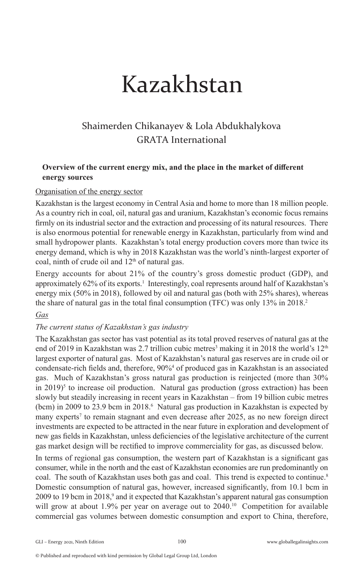# Kazakhstan

### Shaimerden Chikanayev & Lola Abdukhalykova GRATA International

#### **Overview of the current energy mix, and the place in the market of different energy sources**

#### Organisation of the energy sector

Kazakhstan is the largest economy in Central Asia and home to more than 18 million people. As a country rich in coal, oil, natural gas and uranium, Kazakhstan's economic focus remains firmly on its industrial sector and the extraction and processing of its natural resources. There is also enormous potential for renewable energy in Kazakhstan, particularly from wind and small hydropower plants. Kazakhstan's total energy production covers more than twice its energy demand, which is why in 2018 Kazakhstan was the world's ninth-largest exporter of coal, ninth of crude oil and  $12<sup>th</sup>$  of natural gas.

Energy accounts for about 21% of the country's gross domestic product (GDP), and approximately 62% of its exports.<sup>1</sup> Interestingly, coal represents around half of Kazakhstan's energy mix (50% in 2018), followed by oil and natural gas (both with 25% shares), whereas the share of natural gas in the total final consumption (TFC) was only 13% in 2018.<sup>2</sup>

#### *Gas*

#### *The current status of Kazakhstan's gas industry*

The Kazakhstan gas sector has vast potential as its total proved reserves of natural gas at the end of 2019 in Kazakhstan was 2.7 trillion cubic metres<sup>3</sup> making it in 2018 the world's  $12^{\text{th}}$ largest exporter of natural gas. Most of Kazakhstan's natural gas reserves are in crude oil or condensate-rich fields and, therefore, 90%<sup>4</sup> of produced gas in Kazakhstan is an associated gas. Much of Kazakhstan's gross natural gas production is reinjected (more than 30% in 2019)<sup>5</sup> to increase oil production. Natural gas production (gross extraction) has been slowly but steadily increasing in recent years in Kazakhstan – from 19 billion cubic metres (bcm) in 2009 to 23.9 bcm in 2018.<sup>6</sup> Natural gas production in Kazakhstan is expected by many experts<sup>7</sup> to remain stagnant and even decrease after 2025, as no new foreign direct investments are expected to be attracted in the near future in exploration and development of new gas fields in Kazakhstan, unless deficiencies of the legislative architecture of the current gas market design will be rectified to improve commerciality for gas, as discussed below.

In terms of regional gas consumption, the western part of Kazakhstan is a significant gas consumer, while in the north and the east of Kazakhstan economies are run predominantly on coal. The south of Kazakhstan uses both gas and coal. This trend is expected to continue.<sup>8</sup> Domestic consumption of natural gas, however, increased significantly, from 10.1 bcm in 2009 to 19 bcm in 2018,<sup>9</sup> and it expected that Kazakhstan's apparent natural gas consumption will grow at about 1.9% per year on average out to 2040.<sup>10</sup> Competition for available commercial gas volumes between domestic consumption and export to China, therefore,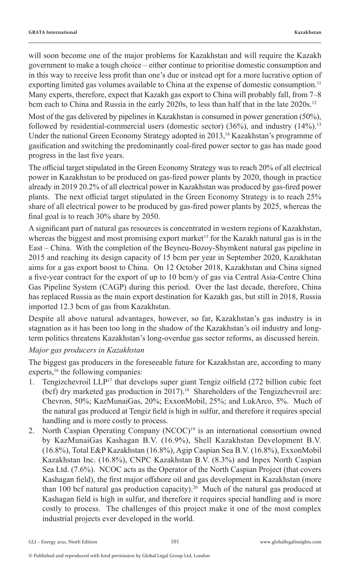will soon become one of the major problems for Kazakhstan and will require the Kazakh government to make a tough choice – either continue to prioritise domestic consumption and in this way to receive less profit than one's due or instead opt for a more lucrative option of exporting limited gas volumes available to China at the expense of domestic consumption.<sup>11</sup> Many experts, therefore, expect that Kazakh gas export to China will probably fall, from 7–8 bcm each to China and Russia in the early 2020s, to less than half that in the late 2020s.<sup>12</sup>

Most of the gas delivered by pipelines in Kazakhstan is consumed in power generation (50%), followed by residential-commercial users (domestic sector)  $(36%)$ , and industry  $(14%)$ .<sup>13</sup> Under the national Green Economy Strategy adopted in 2013,<sup>14</sup> Kazakhstan's programme of gasification and switching the predominantly coal-fired power sector to gas has made good progress in the last five years.

The official target stipulated in the Green Economy Strategy was to reach 20% of all electrical power in Kazakhstan to be produced on gas-fired power plants by 2020, though in practice already in 2019 20.2% of all electrical power in Kazakhstan was produced by gas-fired power plants. The next official target stipulated in the Green Economy Strategy is to reach 25% share of all electrical power to be produced by gas-fired power plants by 2025, whereas the final goal is to reach 30% share by 2050.

A significant part of natural gas resources is concentrated in western regions of Kazakhstan, whereas the biggest and most promising export market<sup>15</sup> for the Kazakh natural gas is in the East – China. With the completion of the Beyneu-Bozoy-Shymkent natural gas pipeline in 2015 and reaching its design capacity of 15 bcm per year in September 2020, Kazakhstan aims for a gas export boost to China. On 12 October 2018, Kazakhstan and China signed a five-year contract for the export of up to 10 bcm/y of gas via Central Asia-Centre China Gas Pipeline System (CAGP) during this period. Over the last decade, therefore, China has replaced Russia as the main export destination for Kazakh gas, but still in 2018, Russia imported 12.3 bcm of gas from Kazakhstan.

Despite all above natural advantages, however, so far, Kazakhstan's gas industry is in stagnation as it has been too long in the shadow of the Kazakhstan's oil industry and longterm politics threatens Kazakhstan's long-overdue gas sector reforms, as discussed herein.

#### *Major gas producers in Kazakhstan*

The biggest gas producers in the foreseeable future for Kazakhstan are, according to many experts,<sup>16</sup> the following companies:

- 1. Tengizchevroil LLP<sup>17</sup> that develops super giant Tengiz oilfield (272 billion cubic feet (bcf) dry marketed gas production in 2017).<sup>18</sup> Shareholders of the Tengizchevroil are: Chevron, 50%; KazMunaiGas, 20%; ExxonMobil, 25%; and LukArco, 5%. Much of the natural gas produced at Tengiz field is high in sulfur, and therefore it requires special handling and is more costly to process.
- 2. North Caspian Operating Company (NCOC)<sup>19</sup> is an international consortium owned by KazMunaiGas Kashagan B.V. (16.9%), Shell Kazakhstan Development B.V. (16.8%), Total E&P Kazakhstan (16.8%), Agip Caspian Sea B.V. (16.8%), ExxonMobil Kazakhstan Inc. (16.8%), CNPC Kazakhstan B.V. (8.3%) and Inpex North Caspian Sea Ltd. (7.6%). NCOC acts as the Operator of the North Caspian Project (that covers Kashagan field), the first major offshore oil and gas development in Kazakhstan (more than 100 bcf natural gas production capacity).<sup>20</sup> Much of the natural gas produced at Kashagan field is high in sulfur, and therefore it requires special handling and is more costly to process. The challenges of this project make it one of the most complex industrial projects ever developed in the world.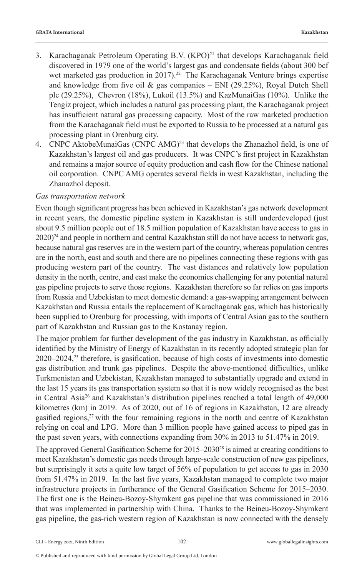- 3. Karachaganak Petroleum Operating B.V.  $(KPO)^{21}$  that develops Karachaganak field discovered in 1979 one of the world's largest gas and condensate fields (about 300 bcf wet marketed gas production in 2017).<sup>22</sup> The Karachaganak Venture brings expertise and knowledge from five oil  $\&$  gas companies – ENI (29.25%), Royal Dutch Shell plc (29.25%), Chevron (18%), Lukoil (13.5%) and KazMunaiGas (10%). Unlike the Tengiz project, which includes a natural gas processing plant, the Karachaganak project has insufficient natural gas processing capacity. Most of the raw marketed production from the Karachaganak field must be exported to Russia to be processed at a natural gas processing plant in Orenburg city.
- 4. CNPC AktobeMunaiGas (CNPC AMG)<sup>23</sup> that develops the Zhanazhol field, is one of Kazakhstan's largest oil and gas producers. It was CNPC's first project in Kazakhstan and remains a major source of equity production and cash flow for the Chinese national oil corporation. CNPC AMG operates several fields in west Kazakhstan, including the Zhanazhol deposit.

#### *Gas transportation network*

Even though significant progress has been achieved in Kazakhstan's gas network development in recent years, the domestic pipeline system in Kazakhstan is still underdeveloped (just about 9.5 million people out of 18.5 million population of Kazakhstan have access to gas in 2020)<sup>24</sup> and people in northern and central Kazakhstan still do not have access to network gas, because natural gas reserves are in the western part of the country, whereas population centres are in the north, east and south and there are no pipelines connecting these regions with gas producing western part of the country. The vast distances and relatively low population density in the north, centre, and east make the economics challenging for any potential natural gas pipeline projects to serve those regions. Kazakhstan therefore so far relies on gas imports from Russia and Uzbekistan to meet domestic demand: a gas-swapping arrangement between Kazakhstan and Russia entails the replacement of Karachaganak gas, which has historically been supplied to Orenburg for processing, with imports of Central Asian gas to the southern part of Kazakhstan and Russian gas to the Kostanay region.

The major problem for further development of the gas industry in Kazakhstan, as officially identified by the Ministry of Energy of Kazakhstan in its recently adopted strategic plan for  $2020-2024$ ,<sup>25</sup> therefore, is gasification, because of high costs of investments into domestic gas distribution and trunk gas pipelines. Despite the above-mentioned difficulties, unlike Turkmenistan and Uzbekistan, Kazakhstan managed to substantially upgrade and extend in the last 15 years its gas transportation system so that it is now widely recognised as the best in Central Asia<sup>26</sup> and Kazakhstan's distribution pipelines reached a total length of 49,000 kilometres (km) in 2019. As of 2020, out of 16 of regions in Kazakhstan, 12 are already gasified regions, $27$  with the four remaining regions in the north and centre of Kazakhstan relying on coal and LPG. More than 3 million people have gained access to piped gas in the past seven years, with connections expanding from 30% in 2013 to 51.47% in 2019.

The approved General Gasification Scheme for 2015–2030<sup>28</sup> is aimed at creating conditions to meet Kazakhstan's domestic gas needs through large-scale construction of new gas pipelines, but surprisingly it sets a quite low target of 56% of population to get access to gas in 2030 from 51.47% in 2019. In the last five years, Kazakhstan managed to complete two major infrastructure projects in furtherance of the General Gasification Scheme for 2015–2030. The first one is the Beineu-Bozoy-Shymkent gas pipeline that was commissioned in 2016 that was implemented in partnership with China. Thanks to the Beineu-Bozoy-Shymkent gas pipeline, the gas-rich western region of Kazakhstan is now connected with the densely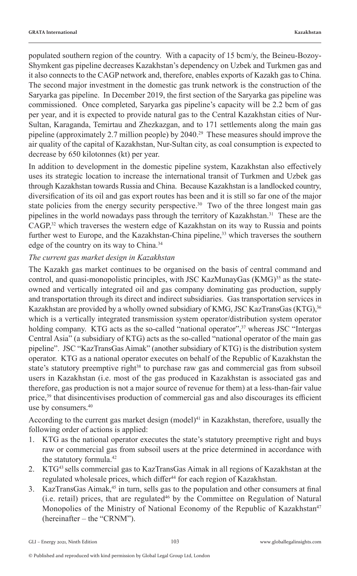populated southern region of the country. With a capacity of 15 bcm/y, the Beineu-Bozoy-Shymkent gas pipeline decreases Kazakhstan's dependency on Uzbek and Turkmen gas and it also connects to the CAGP network and, therefore, enables exports of Kazakh gas to China. The second major investment in the domestic gas trunk network is the construction of the Saryarka gas pipeline. In December 2019, the first section of the Saryarka gas pipeline was commissioned. Once completed, Saryarka gas pipeline's capacity will be 2.2 bcm of gas per year, and it is expected to provide natural gas to the Central Kazakhstan cities of Nur-Sultan, Karaganda, Temirtau and Zhezkazgan, and to 171 settlements along the main gas pipeline (approximately 2.7 million people) by 2040.29 These measures should improve the air quality of the capital of Kazakhstan, Nur-Sultan city, as coal consumption is expected to decrease by 650 kilotonnes (kt) per year.

In addition to development in the domestic pipeline system, Kazakhstan also effectively uses its strategic location to increase the international transit of Turkmen and Uzbek gas through Kazakhstan towards Russia and China. Because Kazakhstan is a landlocked country, diversification of its oil and gas export routes has been and it is still so far one of the major state policies from the energy security perspective.<sup>30</sup> Two of the three longest main gas pipelines in the world nowadays pass through the territory of Kazakhstan.<sup>31</sup> These are the  $CAGP<sub>1</sub><sup>32</sup>$  which traverses the western edge of Kazakhstan on its way to Russia and points further west to Europe, and the Kazakhstan-China pipeline,<sup>33</sup> which traverses the southern edge of the country on its way to China.<sup>34</sup>

#### *The current gas market design in Kazakhstan*

The Kazakh gas market continues to be organised on the basis of central command and control, and quasi-monopolistic principles, with JSC KazMunayGas  $(KMG)^{35}$  as the stateowned and vertically integrated oil and gas company dominating gas production, supply and transportation through its direct and indirect subsidiaries. Gas transportation services in Kazakhstan are provided by a wholly owned subsidiary of KMG, JSC KazTransGas (KTG),<sup>36</sup> which is a vertically integrated transmission system operator/distribution system operator holding company. KTG acts as the so-called "national operator",<sup>37</sup> whereas JSC "Intergas Central Asia" (a subsidiary of KTG) acts as the so-called "national operator of the main gas pipeline". JSC "KazTransGas Aimak" (another subsidiary of KTG) is the distribution system operator. KTG as a national operator executes on behalf of the Republic of Kazakhstan the state's statutory preemptive right $38$  to purchase raw gas and commercial gas from subsoil users in Kazakhstan (i.e. most of the gas produced in Kazakhstan is associated gas and therefore, gas production is not a major source of revenue for them) at a less-than-fair value price,<sup>39</sup> that disincentivises production of commercial gas and also discourages its efficient use by consumers.40

According to the current gas market design  $(mod$  1<sup>41</sup> in Kazakhstan, therefore, usually the following order of actions is applied:

- 1. KTG as the national operator executes the state's statutory preemptive right and buys raw or commercial gas from subsoil users at the price determined in accordance with the statutory formula.<sup>42</sup>
- 2. KTG43 sells commercial gas to KazTransGas Aimak in all regions of Kazakhstan at the regulated wholesale prices, which differ<sup>44</sup> for each region of Kazakhstan.
- 3. KazTransGas Aimak,<sup>45</sup> in turn, sells gas to the population and other consumers at final (i.e. retail) prices, that are regulated46 by the Committee on Regulation of Natural Monopolies of the Ministry of National Economy of the Republic of Kazakhstan<sup>47</sup> (hereinafter – the "CRNM").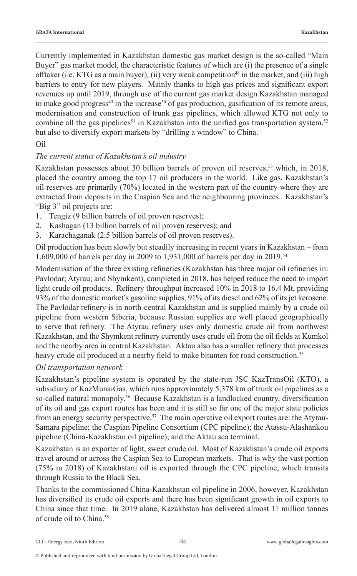Currently implemented in Kazakhstan domestic gas market design is the so-called "Main Buyer" gas market model, the characteristic features of which are (i) the presence of a single offtaker (i.e. KTG as a main buyer), (ii) very weak competition<sup>48</sup> in the market, and (iii) high barriers to entry for new players. Mainly thanks to high gas prices and significant export revenues up until 2019, through use of the current gas market design Kazakhstan managed to make good progress<sup>49</sup> in the increase<sup>50</sup> of gas production, gasification of its remote areas, modernisation and construction of trunk gas pipelines, which allowed KTG not only to combine all the gas pipelines<sup>51</sup> in Kazakhstan into the unified gas transportation system,<sup>52</sup> but also to diversify export markets by "drilling a window" to China.

#### Oil

#### *The current status of Kazakhstan's oil industry*

Kazakhstan possesses about 30 billion barrels of proven oil reserves,<sup>53</sup> which, in 2018, placed the country among the top 17 oil producers in the world. Like gas, Kazakhstan's oil reserves are primarily (70%) located in the western part of the country where they are extracted from deposits in the Caspian Sea and the neighbouring provinces. Kazakhstan's "Big 3" oil projects are:

- 1. Tengiz (9 billion barrels of oil proven reserves);
- 2. Kashagan (13 billion barrels of oil proven reserves); and
- 3. Karachaganak (2.5 billion barrels of oil proven reserves).

Oil production has been slowly but steadily increasing in recent years in Kazakhstan – from 1,609,000 of barrels per day in 2009 to 1,931,000 of barrels per day in 2019.<sup>54</sup>

Modernisation of the three existing refineries (Kazakhstan has three major oil refineries in: Pavlodar; Atyrau; and Shymkent), completed in 2018, has helped reduce the need to import light crude oil products. Refinery throughput increased 10% in 2018 to 16.4 Mt, providing 93% of the domestic market's gasoline supplies, 91% of its diesel and 62% of its jet kerosene. The Pavlodar refinery is in north-central Kazakhstan and is supplied mainly by a crude oil pipeline from western Siberia, because Russian supplies are well placed geographically to serve that refinery. The Atyrau refinery uses only domestic crude oil from northwest Kazakhstan, and the Shymkent refinery currently uses crude oil from the oil fields at Kumkol and the nearby area in central Kazakhstan. Aktau also has a smaller refinery that processes heavy crude oil produced at a nearby field to make bitumen for road construction.<sup>55</sup>

#### *Oil transportation network*

Kazakhstan's pipeline system is operated by the state-run JSC KazTransOil (KTO), a subsidiary of KazMunaiGas, which runs approximately 5,378 km of trunk oil pipelines as a so-called natural monopoly.<sup>56</sup>Because Kazakhstan is a landlocked country, diversification of its oil and gas export routes has been and it is still so far one of the major state policies from an energy security perspective.<sup>57</sup> The main operative oil export routes are: the Atyrau-Samara pipeline; the Caspian Pipeline Consortium (CPC pipeline); the Atassu-Alashankou pipeline (China-Kazakhstan oil pipeline); and the Aktau sea terminal.

Kazakhstan is an exporter of light, sweet crude oil. Most of Kazakhstan's crude oil exports travel around or across the Caspian Sea to European markets. That is why the vast portion (75% in 2018) of Kazakhstani oil is exported through the CPC pipeline, which transits through Russia to the Black Sea.

Thanks to the commissioned China-Kazakhstan oil pipeline in 2006, however, Kazakhstan has diversified its crude oil exports and there has been significant growth in oil exports to China since that time. In 2019 alone, Kazakhstan has delivered almost 11 million tonnes of crude oil to China.58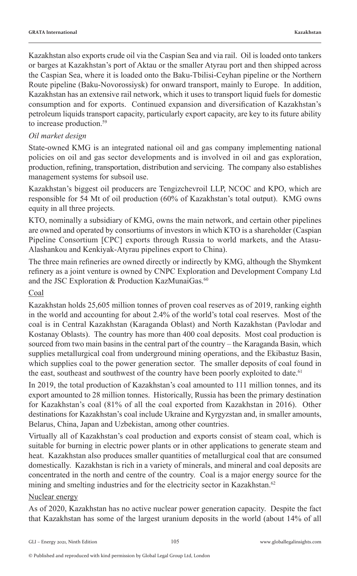Kazakhstan also exports crude oil via the Caspian Sea and via rail. Oil is loaded onto tankers or barges at Kazakhstan's port of Aktau or the smaller Atyrau port and then shipped across the Caspian Sea, where it is loaded onto the Baku-Tbilisi-Ceyhan pipeline or the Northern Route pipeline (Baku-Novorossiysk) for onward transport, mainly to Europe. In addition, Kazakhstan has an extensive rail network, which it uses to transport liquid fuels for domestic consumption and for exports. Continued expansion and diversification of Kazakhstan's petroleum liquids transport capacity, particularly export capacity, are key to its future ability to increase production.<sup>59</sup>

#### *Oil market design*

State-owned KMG is an integrated national oil and gas company implementing national policies on oil and gas sector developments and is involved in oil and gas exploration, production, refining, transportation, distribution and servicing. The company also establishes management systems for subsoil use.

Kazakhstan's biggest oil producers are Tengizchevroil LLP, NCOC and KPO, which are responsible for 54 Mt of oil production (60% of Kazakhstan's total output). KMG owns equity in all three projects.

KTO, nominally a subsidiary of KMG, owns the main network, and certain other pipelines are owned and operated by consortiums of investors in which KTO is a shareholder (Caspian Pipeline Consortium [CPC] exports through Russia to world markets, and the Atasu-Alashankou and Kenkiyak-Atyrau pipelines export to China).

The three main refineries are owned directly or indirectly by KMG, although the Shymkent refinery as a joint venture is owned by CNPC Exploration and Development Company Ltd and the JSC Exploration & Production KazMunaiGas.<sup>60</sup>

#### Coal

Kazakhstan holds 25,605 million tonnes of proven coal reserves as of 2019, ranking eighth in the world and accounting for about 2.4% of the world's total coal reserves. Most of the coal is in Central Kazakhstan (Karaganda Oblast) and North Kazakhstan (Pavlodar and Kostanay Oblasts). The country has more than 400 coal deposits. Most coal production is sourced from two main basins in the central part of the country – the Karaganda Basin, which supplies metallurgical coal from underground mining operations, and the Ekibastuz Basin, which supplies coal to the power generation sector. The smaller deposits of coal found in the east, southeast and southwest of the country have been poorly exploited to date.<sup>61</sup>

In 2019, the total production of Kazakhstan's coal amounted to 111 million tonnes, and its export amounted to 28 million tonnes. Historically, Russia has been the primary destination for Kazakhstan's coal (81% of all the coal exported from Kazakhstan in 2016). Other destinations for Kazakhstan's coal include Ukraine and Kyrgyzstan and, in smaller amounts, Belarus, China, Japan and Uzbekistan, among other countries.

Virtually all of Kazakhstan's coal production and exports consist of steam coal, which is suitable for burning in electric power plants or in other applications to generate steam and heat. Kazakhstan also produces smaller quantities of metallurgical coal that are consumed domestically. Kazakhstan is rich in a variety of minerals, and mineral and coal deposits are concentrated in the north and centre of the country. Coal is a major energy source for the mining and smelting industries and for the electricity sector in Kazakhstan.<sup>62</sup>

#### Nuclear energy

As of 2020, Kazakhstan has no active nuclear power generation capacity. Despite the fact that Kazakhstan has some of the largest uranium deposits in the world (about 14% of all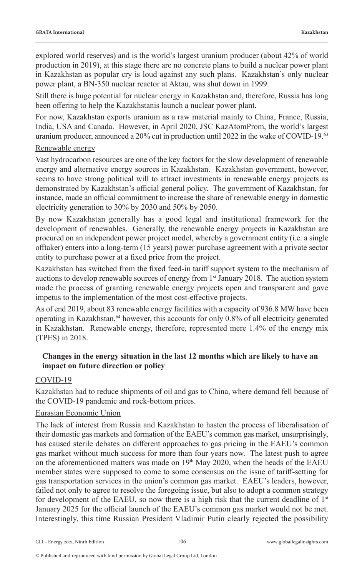explored world reserves) and is the world's largest uranium producer (about 42% of world production in 2019), at this stage there are no concrete plans to build a nuclear power plant in Kazakhstan as popular cry is loud against any such plans. Kazakhstan's only nuclear power plant, a BN-350 nuclear reactor at Aktau, was shut down in 1999.

Still there is huge potential for nuclear energy in Kazakhstan and, therefore, Russia has long been offering to help the Kazakhstanis launch a nuclear power plant.

For now, Kazakhstan exports uranium as a raw material mainly to China, France, Russia, India, USA and Canada. However, in April 2020, JSC KazAtomProm, the world's largest uranium producer, announced a 20% cut in production until 2022 in the wake of COVID-19.<sup>63</sup>

#### Renewable energy

Vast hydrocarbon resources are one of the key factors for the slow development of renewable energy and alternative energy sources in Kazakhstan. Kazakhstan government, however, seems to have strong political will to attract investments in renewable energy projects as demonstrated by Kazakhstan's official general policy. The government of Kazakhstan, for instance, made an official commitment to increase the share of renewable energy in domestic electricity generation to 30% by 2030 and 50% by 2050.

By now Kazakhstan generally has a good legal and institutional framework for the development of renewables. Generally, the renewable energy projects in Kazakhstan are procured on an independent power project model, whereby a government entity (i.e. a single offtaker) enters into a long-term (15 years) power purchase agreement with a private sector entity to purchase power at a fixed price from the project.

Kazakhstan has switched from the fixed feed-in tariff support system to the mechanism of auctions to develop renewable sources of energy from  $1<sup>st</sup>$  January 2018. The auction system made the process of granting renewable energy projects open and transparent and gave impetus to the implementation of the most cost-effective projects.

As of end 2019, about 83 renewable energy facilities with a capacity of 936.8 MW have been operating in Kazakhstan,<sup>64</sup> however, this accounts for only 0.8% of all electricity generated in Kazakhstan. Renewable energy, therefore, represented mere 1.4% of the energy mix (TPES) in 2018.

#### **Changes in the energy situation in the last 12 months which are likely to have an impact on future direction or policy**

#### COVID-19

Kazakhstan had to reduce shipments of oil and gas to China, where demand fell because of the COVID-19 pandemic and rock-bottom prices.

#### Eurasian Economic Union

The lack of interest from Russia and Kazakhstan to hasten the process of liberalisation of their domestic gas markets and formation of the EAEU's common gas market, unsurprisingly, has caused sterile debates on different approaches to gas pricing in the EAEU's common gas market without much success for more than four years now. The latest push to agree on the aforementioned matters was made on  $19<sup>th</sup>$  May 2020, when the heads of the EAEU member states were supposed to come to some consensus on the issue of tariff-setting for gas transportation services in the union's common gas market. EAEU's leaders, however, failed not only to agree to resolve the foregoing issue, but also to adopt a common strategy for development of the EAEU, so now there is a high risk that the current deadline of  $1<sup>st</sup>$ January 2025 for the official launch of the EAEU's common gas market would not be met. Interestingly, this time Russian President Vladimir Putin clearly rejected the possibility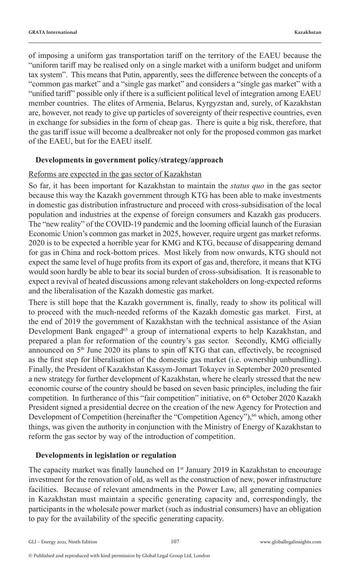of imposing a uniform gas transportation tariff on the territory of the EAEU because the "uniform tariff may be realised only on a single market with a uniform budget and uniform tax system". This means that Putin, apparently, sees the difference between the concepts of a "common gas market" and a "single gas market" and considers a "single gas market" with a "unified tariff" possible only if there is a sufficient political level of integration among EAEU member countries. The elites of Armenia, Belarus, Kyrgyzstan and, surely, of Kazakhstan are, however, not ready to give up particles of sovereignty of their respective countries, even in exchange for subsidies in the form of cheap gas. There is quite a big risk, therefore, that the gas tariff issue will become a dealbreaker not only for the proposed common gas market of the EAEU, but for the EAEU itself.

#### **Developments in government policy/strategy/approach**

#### Reforms are expected in the gas sector of Kazakhstan

So far, it has been important for Kazakhstan to maintain the *status quo* in the gas sector because this way the Kazakh government through KTG has been able to make investments in domestic gas distribution infrastructure and proceed with cross-subsidisation of the local population and industries at the expense of foreign consumers and Kazakh gas producers. The "new reality" of the COVID-19 pandemic and the looming official launch of the Eurasian Economic Union's common gas market in 2025, however, require urgent gas market reforms. 2020 is to be expected a horrible year for KMG and KTG, because of disappearing demand for gas in China and rock-bottom prices. Most likely from now onwards, KTG should not expect the same level of huge profits from its export of gas and, therefore, it means that KTG would soon hardly be able to bear its social burden of cross-subsidisation. It is reasonable to expect a revival of heated discussions among relevant stakeholders on long-expected reforms and the liberalisation of the Kazakh domestic gas market.

There is still hope that the Kazakh government is, finally, ready to show its political will to proceed with the much-needed reforms of the Kazakh domestic gas market. First, at the end of 2019 the government of Kazakhstan with the technical assistance of the Asian Development Bank engaged<sup>65</sup> a group of international experts to help Kazakhstan, and prepared a plan for reformation of the country's gas sector. Secondly, KMG officially announced on 5<sup>th</sup> June 2020 its plans to spin off KTG that can, effectively, be recognised as the first step for liberalisation of the domestic gas market (i.e. ownership unbundling). Finally, the President of Kazakhstan Kassym-Jomart Tokayev in September 2020 presented a new strategy for further development of Kazakhstan, where he clearly stressed that the new economic course of the country should be based on seven basic principles, including the fair competition. In furtherance of this "fair competition" initiative, on 6<sup>th</sup> October 2020 Kazakh President signed a presidential decree on the creation of the new Agency for Protection and Development of Competition (hereinafter the "Competition Agency"),<sup>66</sup> which, among other things, was given the authority in conjunction with the Ministry of Energy of Kazakhstan to reform the gas sector by way of the introduction of competition.

#### **Developments in legislation or regulation**

The capacity market was finally launched on  $1<sup>st</sup>$  January 2019 in Kazakhstan to encourage investment for the renovation of old, as well as the construction of new, power infrastructure facilities. Because of relevant amendments in the Power Law, all generating companies in Kazakhstan must maintain a specific generating capacity and, correspondingly, the participants in the wholesale power market (such as industrial consumers) have an obligation to pay for the availability of the specific generating capacity.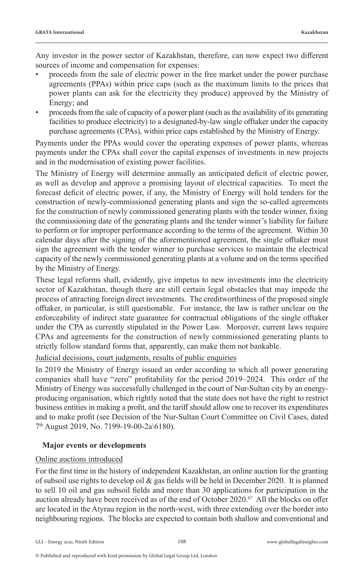Any investor in the power sector of Kazakhstan, therefore, can now expect two different sources of income and compensation for expenses:

- proceeds from the sale of electric power in the free market under the power purchase agreements (PPAs) within price caps (such as the maximum limits to the prices that power plants can ask for the electricity they produce) approved by the Ministry of Energy; and
- proceeds from the sale of capacity of a power plant (such as the availability of its generating facilities to produce electricity) to a designated-by-law single offtaker under the capacity purchase agreements (CPAs), within price caps established by the Ministry of Energy.

Payments under the PPAs would cover the operating expenses of power plants, whereas payments under the CPAs shall cover the capital expenses of investments in new projects and in the modernisation of existing power facilities.

The Ministry of Energy will determine annually an anticipated deficit of electric power, as well as develop and approve a promising layout of electrical capacities. To meet the forecast deficit of electric power, if any, the Ministry of Energy will hold tenders for the construction of newly-commissioned generating plants and sign the so-called agreements for the construction of newly commissioned generating plants with the tender winner, fixing the commissioning date of the generating plants and the tender winner's liability for failure to perform or for improper performance according to the terms of the agreement. Within 30 calendar days after the signing of the aforementioned agreement, the single offtaker must sign the agreement with the tender winner to purchase services to maintain the electrical capacity of the newly commissioned generating plants at a volume and on the terms specified by the Ministry of Energy.

These legal reforms shall, evidently, give impetus to new investments into the electricity sector of Kazakhstan, though there are still certain legal obstacles that may impede the process of attracting foreign direct investments. The creditworthiness of the proposed single offtaker, in particular, is still questionable. For instance, the law is rather unclear on the enforceability of indirect state guarantee for contractual obligations of the single offtaker under the CPA as currently stipulated in the Power Law. Moreover, current laws require CPAs and agreements for the construction of newly commissioned generating plants to strictly follow standard forms that, apparently, can make them not bankable.

Judicial decisions, court judgments, results of public enquiries

In 2019 the Ministry of Energy issued an order according to which all power generating companies shall have "zero" profitability for the period 2019–2024. This order of the Ministry of Energy was successfully challenged in the court of Nur-Sultan city by an energyproducing organisation, which rightly noted that the state does not have the right to restrict business entities in making a profit, and the tariff should allow one to recover its expenditures and to make profit (see Decision of the Nur-Sultan Court Committee on Civil Cases, dated 7th August 2019, No. 7199-19-00-2а\6180).

#### **Major events or developments**

#### Online auctions introduced

For the first time in the history of independent Kazakhstan, an online auction for the granting of subsoil use rights to develop oil & gas fields will be held in December 2020. It is planned to sell 10 oil and gas subsoil fields and more than 30 applications for participation in the auction already have been received as of the end of October 2020.<sup>67</sup> All the blocks on offer are located in the Atyrau region in the north-west, with three extending over the border into neighbouring regions. The blocks are expected to contain both shallow and conventional and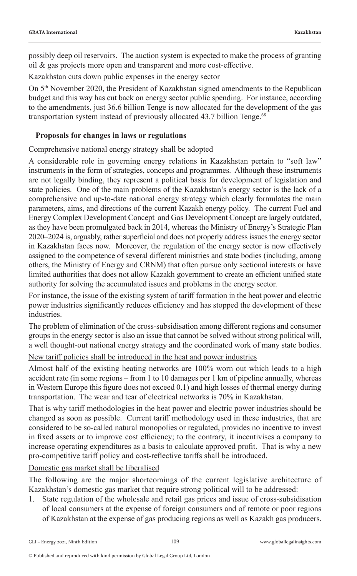possibly deep oil reservoirs. The auction system is expected to make the process of granting oil & gas projects more open and transparent and more cost-effective.

Kazakhstan cuts down public expenses in the energy sector

On 5th November 2020, the President of Kazakhstan signed amendments to the Republican budget and this way has cut back on energy sector public spending. For instance, according to the amendments, just 36.6 billion Tenge is now allocated for the development of the gas transportation system instead of previously allocated 43.7 billion Tenge.<sup>68</sup>

#### **Proposals for changes in laws or regulations**

#### Comprehensive national energy strategy shall be adopted

A considerable role in governing energy relations in Kazakhstan pertain to "soft law" instruments in the form of strategies, concepts and programmes. Although these instruments are not legally binding, they represent a political basis for development of legislation and state policies. One of the main problems of the Kazakhstan's energy sector is the lack of a comprehensive and up-to-date national energy strategy which clearly formulates the main parameters, aims, and directions of the current Kazakh energy policy. The current Fuel and Energy Complex Development Concept and Gas Development Concept are largely outdated, as they have been promulgated back in 2014, whereas the Ministry of Energy's Strategic Plan 2020–2024 is, arguably, rather superficial and does not properly address issues the energy sector in Kazakhstan faces now. Moreover, the regulation of the energy sector is now effectively assigned to the competence of several different ministries and state bodies (including, among others, the Ministry of Energy and CRNM) that often pursue only sectional interests or have limited authorities that does not allow Kazakh government to create an efficient unified state authority for solving the accumulated issues and problems in the energy sector.

For instance, the issue of the existing system of tariff formation in the heat power and electric power industries significantly reduces efficiency and has stopped the development of these industries.

The problem of elimination of the cross-subsidisation among different regions and consumer groups in the energy sector is also an issue that cannot be solved without strong political will, a well thought-out national energy strategy and the coordinated work of many state bodies.

#### New tariff policies shall be introduced in the heat and power industries

Almost half of the existing heating networks are 100% worn out which leads to a high accident rate (in some regions – from 1 to 10 damages per 1 km of pipeline annually, whereas in Western Europe this figure does not exceed 0.1) and high losses of thermal energy during transportation. The wear and tear of electrical networks is 70% in Kazakhstan.

That is why tariff methodologies in the heat power and electric power industries should be changed as soon as possible. Current tariff methodology used in these industries, that are considered to be so-called natural monopolies or regulated, provides no incentive to invest in fixed assets or to improve cost efficiency; to the contrary, it incentivises a company to increase operating expenditures as a basis to calculate approved profit. That is why a new pro-competitive tariff policy and cost-reflective tariffs shall be introduced.

Domestic gas market shall be liberalised

The following are the major shortcomings of the current legislative architecture of Kazakhstan's domestic gas market that require strong political will to be addressed:

State regulation of the wholesale and retail gas prices and issue of cross-subsidisation of local consumers at the expense of foreign consumers and of remote or poor regions of Kazakhstan at the expense of gas producing regions as well as Kazakh gas producers.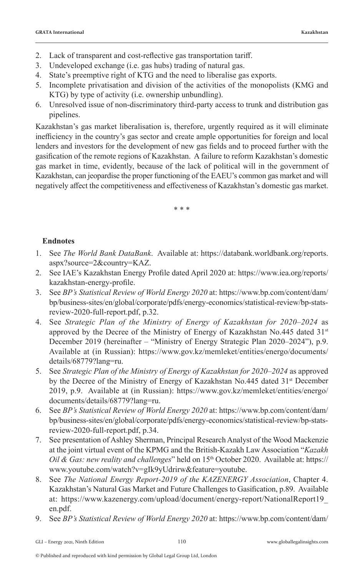- 2. Lack of transparent and cost-reflective gas transportation tariff.
- 3. Undeveloped exchange (i.e. gas hubs) trading of natural gas.
- 4. State's preemptive right of KTG and the need to liberalise gas exports.
- 5. Incomplete privatisation and division of the activities of the monopolists (KMG and KTG) by type of activity (i.e. ownership unbundling).
- 6. Unresolved issue of non-discriminatory third-party access to trunk and distribution gas pipelines.

Kazakhstan's gas market liberalisation is, therefore, urgently required as it will eliminate inefficiency in the country's gas sector and create ample opportunities for foreign and local lenders and investors for the development of new gas fields and to proceed further with the gasification of the remote regions of Kazakhstan. A failure to reform Kazakhstan's domestic gas market in time, evidently, because of the lack of political will in the government of Kazakhstan, can jeopardise the proper functioning of the EAEU's common gas market and will negatively affect the competitiveness and effectiveness of Kazakhstan's domestic gas market.

\* \* \*

#### **Endnotes**

- 1. See *The World Bank DataBank*. Available at: https://databank.worldbank.org/reports. aspx?source=2&country=KAZ.
- 2. See IAE's Kazakhstan Energy Profile dated April 2020 at: https://www.iea.org/reports/ kazakhstan-energy-profile.
- 3. See *BP's Statistical Review of World Energy 2020* at: https://www.bp.com/content/dam/ bp/business-sites/en/global/corporate/pdfs/energy-economics/statistical-review/bp-statsreview-2020-full-report.pdf, p.32.
- 4. See *Strategic Plan of the Ministry of Energy of Kazakhstan for 2020–2024* as approved by the Decree of the Ministry of Energy of Kazakhstan No.445 dated 31<sup>st</sup> December 2019 (hereinafter – "Ministry of Energy Strategic Plan 2020–2024"), p.9. Available at (in Russian): https://www.gov.kz/memleket/entities/energo/documents/ details/68779?lang=ru.
- 5. See *Strategic Plan of the Ministry of Energy of Kazakhstan for 2020–2024* as approved by the Decree of the Ministry of Energy of Kazakhstan No.445 dated 31<sup>st</sup> December 2019, p.9. Available at (in Russian): https://www.gov.kz/memleket/entities/energo/ documents/details/68779?lang=ru.
- 6. See *BP's Statistical Review of World Energy 2020* at: https://www.bp.com/content/dam/ bp/business-sites/en/global/corporate/pdfs/energy-economics/statistical-review/bp-statsreview-2020-full-report.pdf, p.34.
- 7. See presentation of Ashley Sherman, Principal Research Analyst of the Wood Mackenzie at the joint virtual event of the KPMG and the British-Kazakh Law Association "*Kazakh Oil & Gas: new reality and challenges*" held on 15th October 2020. Available at: https:// www.youtube.com/watch?v=gIk9yUdrirw&feature=youtube.
- 8. See *The National Energy Report-2019 of the KAZENERGY Association*, Chapter 4. Kazakhstan's Natural Gas Market and Future Challenges to Gasification, p.89. Available at: https://www.kazenergy.com/upload/document/energy-report/NationalReport19\_ en.pdf.
- 9. See *BP's Statistical Review of World Energy 2020* at: https://www.bp.com/content/dam/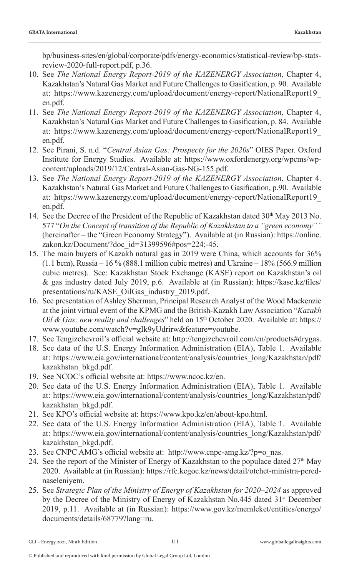bp/business-sites/en/global/corporate/pdfs/energy-economics/statistical-review/bp-statsreview-2020-full-report.pdf, p.36.

- 10. See *The National Energy Report-2019 of the KAZENERGY Association*, Chapter 4, Kazakhstan's Natural Gas Market and Future Challenges to Gasification, p. 90. Available at: https://www.kazenergy.com/upload/document/energy-report/NationalReport19\_ en.pdf.
- 11. See *The National Energy Report-2019 of the KAZENERGY Association*, Chapter 4, Kazakhstan's Natural Gas Market and Future Challenges to Gasification, p. 84. Available at: https://www.kazenergy.com/upload/document/energy-report/NationalReport19\_ en.pdf.
- 12. See Pirani, S. n.d. "*Central Asian Gas: Prospects for the 2020s*" OIES Paper. Oxford Institute for Energy Studies. Available at: https://www.oxfordenergy.org/wpcms/wpcontent/uploads/2019/12/Central-Asian-Gas-NG-155.pdf.
- 13. See *The National Energy Report-2019 of the KAZENERGY Association*, Chapter 4. Kazakhstan's Natural Gas Market and Future Challenges to Gasification, p.90. Available at: https://www.kazenergy.com/upload/document/energy-report/NationalReport19\_ en.pdf.
- 14. See the Decree of the President of the Republic of Kazakhstan dated 30<sup>th</sup> May 2013 No. 577 "*On the Concept of transition of the Republic of Kazakhstan to a "green economy""*  (hereinafter – the "Green Economy Strategy"). Available at (in Russian): https://online. zakon.kz/Document/?doc\_id=31399596#pos=224;-45.
- 15. The main buyers of Kazakh natural gas in 2019 were China, which accounts for 36%  $(1.1 \text{ bem})$ , Russia – 16 % (888.1 million cubic metres) and Ukraine – 18% (566.9 million cubic metres). See: Kazakhstan Stock Exchange (KASE) report on Kazakhstan's oil & gas industry dated July 2019, p.6. Available at (in Russian): https://kase.kz/files/ presentations/ru/KASE\_OilGas\_industry\_2019.pdf.
- 16. See presentation of Ashley Sherman, Principal Research Analyst of the Wood Mackenzie at the joint virtual event of the KPMG and the British-Kazakh Law Association "*Kazakh Oil & Gas: new reality and challenges*" held on 15th October 2020. Available at: https:// www.youtube.com/watch?v=gIk9yUdrirw&feature=youtube.
- 17. See Tengizchevroil's official website at: http://tengizchevroil.com/en/products#drygas.
- 18. See data of the U.S. Energy Information Administration (EIA), Table 1. Available at: https://www.eia.gov/international/content/analysis/countries\_long/Kazakhstan/pdf/ kazakhstan\_bkgd.pdf.
- 19. See NCOC's official website at: https://www.ncoc.kz/en.
- 20. See data of the U.S. Energy Information Administration (EIA), Table 1. Available at: https://www.eia.gov/international/content/analysis/countries\_long/Kazakhstan/pdf/ kazakhstan\_bkgd.pdf.
- 21. See KPO's official website at: https://www.kpo.kz/en/about-kpo.html.
- 22. See data of the U.S. Energy Information Administration (EIA), Table 1. Available at: https://www.eia.gov/international/content/analysis/countries\_long/Kazakhstan/pdf/ kazakhstan\_bkgd.pdf.
- 23. See CNPC AMG's official website at: http://www.cnpc-amg.kz/?p=o\_nas.
- 24. See the report of the Minister of Energy of Kazakhstan to the populace dated  $27<sup>th</sup>$  May 2020. Available at (in Russian): https://rfc.kegoc.kz/news/detail/otchet-ministra-perednaseleniyem.
- 25. See *Strategic Plan of the Ministry of Energy of Kazakhstan for 2020–2024* as approved by the Decree of the Ministry of Energy of Kazakhstan No.445 dated 31<sup>st</sup> December 2019, p.11. Available at (in Russian): https://www.gov.kz/memleket/entities/energo/ documents/details/68779?lang=ru.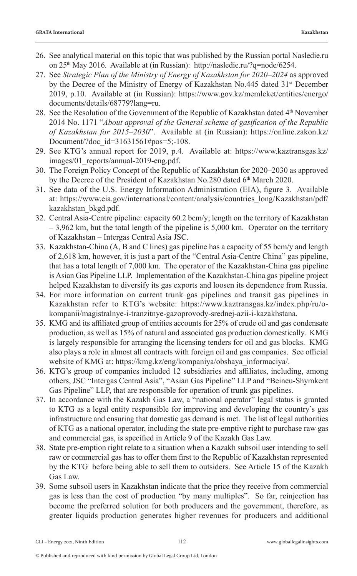- 26. See analytical material on this topic that was published by the Russian portal Nasledie.ru on 25<sup>th</sup> May 2016. Available at (in Russian): http://nasledie.ru/?q=node/6254.
- 27. See *Strategic Plan of the Ministry of Energy of Kazakhstan for 2020–2024* as approved by the Decree of the Ministry of Energy of Kazakhstan No.445 dated 31<sup>st</sup> December 2019, p.10. Available at (in Russian): https://www.gov.kz/memleket/entities/energo/ documents/details/68779?lang=ru.
- 28. See the Resolution of the Government of the Republic of Kazakhstan dated  $4<sup>th</sup>$  November 2014 No. 1171 "*About approval of the General scheme of gasification of the Republic of Kazakhstan for 2015–2030*". Available at (in Russian): https://online.zakon.kz/ Document/?doc\_id=31631561#pos=5;-108.
- 29. See KTG's annual report for 2019, p.4. Available at: https://www.kaztransgas.kz/ images/01 reports/annual-2019-eng.pdf.
- 30. The Foreign Policy Concept of the Republic of Kazakhstan for 2020–2030 as approved by the Decree of the President of Kazakhstan No.280 dated 6<sup>th</sup> March 2020.
- 31. See data of the U.S. Energy Information Administration (EIA), figure 3. Available at: https://www.eia.gov/international/content/analysis/countries\_long/Kazakhstan/pdf/ kazakhstan\_bkgd.pdf.
- 32. Central Asia-Centre pipeline: capacity 60.2 bcm/y; length on the territory of Kazakhstan  $-3,962$  km, but the total length of the pipeline is 5,000 km. Operator on the territory of Kazakhstan – Intergas Central Asia JSC.
- 33. Kazakhstan-China (А, B and C lines) gas pipeline has a capacity of 55 bcm/y and length of 2,618 km, however, it is just a part of the "Central Asia-Centre China" gas pipeline, that has a total length of 7,000 km. The operator of the Kazakhstan-China gas pipeline is Asian Gas Pipeline LLP. Implementation of the Kazakhstan-China gas pipeline project helped Kazakhstan to diversify its gas exports and loosen its dependence from Russia.
- 34. For more information on current trunk gas pipelines and transit gas pipelines in Kazakhstan refer to KTG's website: https://www.kaztransgas.kz/index.php/ru/okompanii/magistralnye-i-tranzitnye-gazoprovody-srednej-azii-i-kazakhstana.
- 35. KMG and its affiliated group of entities accounts for 25% of crude oil and gas condensate production, as well as 15% of natural and associated gas production domestically. KMG is largely responsible for arranging the licensing tenders for oil and gas blocks. KMG also plays a role in almost all contracts with foreign oil and gas companies. See official website of KMG at: https://kmg.kz/eng/kompaniya/obshaya\_informaciya/.
- 36. KTG's group of companies included 12 subsidiaries and affiliates, including, among others, JSC "Intergas Central Asia", "Asian Gas Pipeline" LLP and "Beineu-Shymkent Gas Pipeline" LLP, that are responsible for operation of trunk gas pipelines.
- 37. In accordance with the Kazakh Gas Law, a "national operator" legal status is granted to KTG as a legal entity responsible for improving and developing the country's gas infrastructure and ensuring that domestic gas demand is met. The list of legal authorities of KTG as a national operator, including the state pre-emptive right to purchase raw gas and commercial gas, is specified in Article 9 of the Kazakh Gas Law.
- 38. State pre-emption right relate to a situation when a Kazakh subsoil user intending to sell raw or commercial gas has to offer them first to the Republic of Kazakhstan represented by the KTG before being able to sell them to outsiders. See Article 15 of the Kazakh Gas Law.
- 39. Some subsoil users in Kazakhstan indicate that the price they receive from commercial gas is less than the cost of production "by many multiples". So far, reinjection has become the preferred solution for both producers and the government, therefore, as greater liquids production generates higher revenues for producers and additional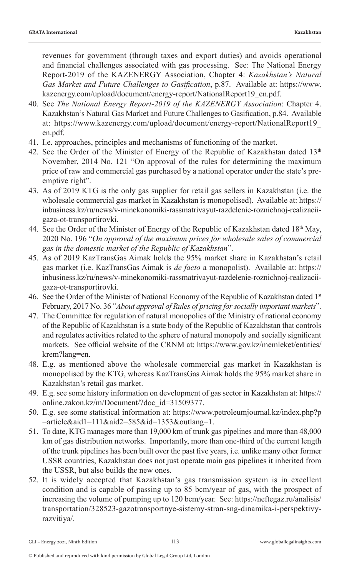revenues for government (through taxes and export duties) and avoids operational and financial challenges associated with gas processing. See: The National Energy Report-2019 of the KAZENERGY Association, Chapter 4: *Kazakhstan's Natural Gas Market and Future Challenges to Gasification*, p.87. Available at: https://www. kazenergy.com/upload/document/energy-report/NationalReport19\_en.pdf.

- 40. See *The National Energy Report-2019 of the KAZENERGY Association*: Chapter 4. Kazakhstan's Natural Gas Market and Future Challenges to Gasification, p.84. Available at: https://www.kazenergy.com/upload/document/energy-report/NationalReport19\_ en.pdf.
- 41. I.e. approaches, principles and mechanisms of functioning of the market.
- 42. See the Order of the Minister of Energy of the Republic of Kazakhstan dated  $13<sup>th</sup>$ November, 2014 No. 121 "On approval of the rules for determining the maximum price of raw and commercial gas purchased by a national operator under the state's preemptive right".
- 43. As of 2019 KTG is the only gas supplier for retail gas sellers in Kazakhstan (i.e. the wholesale commercial gas market in Kazakhstan is monopolised). Available at: https:// inbusiness.kz/ru/news/v-minekonomiki-rassmatrivayut-razdelenie-roznichnoj-realizaciigaza-ot-transportirovki.
- 44. See the Order of the Minister of Energy of the Republic of Kazakhstan dated 18th May, 2020 No. 196 "*On approval of the maximum prices for wholesale sales of commercial gas in the domestic market of the Republic of Kazakhstan*".
- 45. As of 2019 KazTransGas Aimak holds the 95% market share in Kazakhstan's retail gas market (i.e. KazTransGas Aimak is *de facto* a monopolist). Available at: https:// inbusiness.kz/ru/news/v-minekonomiki-rassmatrivayut-razdelenie-roznichnoj-realizaciigaza-ot-transportirovki.
- 46. See the Order of the Minister of National Economy of the Republic of Kazakhstan dated 1st February, 2017 No. 36 "*About approval of Rules of pricing for socially important markets*".
- 47. The Committee for regulation of natural monopolies of the Ministry of national economy of the Republic of Kazakhstan is a state body of the Republic of Kazakhstan that controls and regulates activities related to the sphere of natural monopoly and socially significant markets. See official website of the CRNM at: https://www.gov.kz/memleket/entities/ krem?lang=en.
- 48. E.g. as mentioned above the wholesale commercial gas market in Kazakhstan is monopolised by the KTG, whereas KazTransGas Aimak holds the 95% market share in Kazakhstan's retail gas market.
- 49. E.g. see some history information on development of gas sector in Kazakhstan at: https:// online.zakon.kz/m/Document/?doc\_id=31509377.
- 50. E.g. see some statistical information at: https://www.petroleumjournal.kz/index.php?p =article&aid1=111&aid2=585&id=1353&outlang=1.
- 51. To date, KTG manages more than 19,000 km of trunk gas pipelines and more than 48,000 km of gas distribution networks. Importantly, more than one-third of the current length of the trunk pipelines has been built over the past five years, i.e. unlike many other former USSR countries, Kazakhstan does not just operate main gas pipelines it inherited from the USSR, but also builds the new ones.
- 52. It is widely accepted that Kazakhstan's gas transmission system is in excellent condition and is capable of passing up to 85 bcm/year of gas, with the prospect of increasing the volume of pumping up to 120 bcm/year. See: https://neftegaz.ru/analisis/ transportation/328523-gazotransportnye-sistemy-stran-sng-dinamika-i-perspektivyrazvitiya/.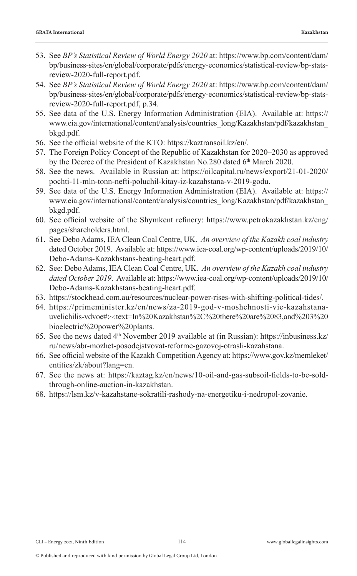- 53. See *BP's Statistical Review of World Energy 2020* at: https://www.bp.com/content/dam/ bp/business-sites/en/global/corporate/pdfs/energy-economics/statistical-review/bp-statsreview-2020-full-report.pdf.
- 54. See *BP's Statistical Review of World Energy 2020* at: https://www.bp.com/content/dam/ bp/business-sites/en/global/corporate/pdfs/energy-economics/statistical-review/bp-statsreview-2020-full-report.pdf, p.34.
- 55. See data of the U.S. Energy Information Administration (EIA). Available at: https:// www.eia.gov/international/content/analysis/countries\_long/Kazakhstan/pdf/kazakhstan\_ bkgd.pdf.
- 56. See the official website of the KTO: https://kaztransoil.kz/en/.
- 57. The Foreign Policy Concept of the Republic of Kazakhstan for 2020–2030 as approved by the Decree of the President of Kazakhstan No.280 dated 6<sup>th</sup> March 2020.
- 58. See the news. Available in Russian at: https://oilcapital.ru/news/export/21-01-2020/ pochti-11-mln-tonn-nefti-poluchil-kitay-iz-kazahstana-v-2019-godu.
- 59. See data of the U.S. Energy Information Administration (EIA). Available at: https:// www.eia.gov/international/content/analysis/countries\_long/Kazakhstan/pdf/kazakhstan\_ bkgd.pdf.
- 60. See official website of the Shymkent refinery: https://www.petrokazakhstan.kz/eng/ pages/shareholders.html.
- 61. See Debo Adams, IEA Clean Coal Centre, UK. *An overview of the Kazakh coal industry* dated October 2019. Available at: https://www.iea-coal.org/wp-content/uploads/2019/10/ Debo-Adams-Kazakhstans-beating-heart.pdf.
- 62. See: Debo Adams, IEA Clean Coal Centre, UK. *An overview of the Kazakh coal industry dated October 2019*. Available at: https://www.iea-coal.org/wp-content/uploads/2019/10/ Debo-Adams-Kazakhstans-beating-heart.pdf.
- 63. https://stockhead.com.au/resources/nuclear-power-rises-with-shifting-political-tides/.
- 64. https://primeminister.kz/en/news/za-2019-god-v-moshchnosti-vie-kazahstanauvelichilis-vdvoe#:~:text=In%20Kazakhstan%2C%20there%20are%2083,and%203%20 bioelectric%20power%20plants.
- 65. See the news dated  $4<sup>th</sup>$  November 2019 available at (in Russian): https://inbusiness.kz/ ru/news/abr-mozhet-posodejstvovat-reforme-gazovoj-otrasli-kazahstana.
- 66. See official website of the Kazakh Competition Agency at: https://www.gov.kz/memleket/ entities/zk/about?lang=en.
- 67. See the news at: https://kaztag.kz/en/news/10-oil-and-gas-subsoil-fields-to-be-soldthrough-online-auction-in-kazakhstan.
- 68. https://lsm.kz/v-kazahstane-sokratili-rashody-na-energetiku-i-nedropol-zovanie.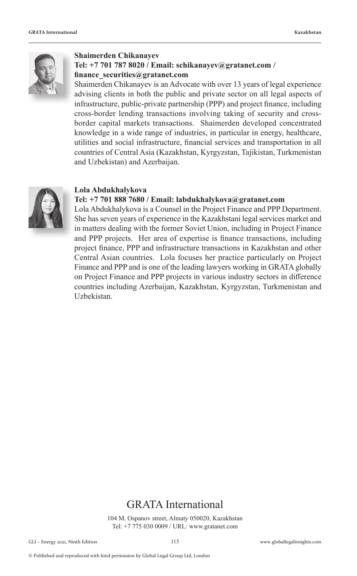

#### **Shaimerden Chikanayev Tel: +7 701 787 8020 / Email: schikanayev@gratanet.com / finance\_securities@gratanet.com**

Shaimerden Chikanayev is an Advocate with over 13 years of legal experience advising clients in both the public and private sector on all legal aspects of infrastructure, public-private partnership (PPP) and project finance, including cross-border lending transactions involving taking of security and crossborder capital markets transactions. Shaimerden developed concentrated knowledge in a wide range of industries, in particular in energy, healthcare, utilities and social infrastructure, financial services and transportation in all countries of Central Asia (Kazakhstan, Kyrgyzstan, Tajikistan, Turkmenistan and Uzbekistan) and Azerbaijan.



#### **Lola Abdukhalykova**

#### **Tel: +7 701 888 7680 / Email: labdukhalykova@gratanet.com**

Lola Abdukhalykova is a Counsel in the Project Finance and PPP Department. She has seven years of experience in the Kazakhstani legal services market and in matters dealing with the former Soviet Union, including in Project Finance and PPP projects. Her area of expertise is finance transactions, including project finance, PPP and infrastructure transactions in Kazakhstan and other Central Asian countries. Lola focuses her practice particularly on Project Finance and PPP and is one of the leading lawyers working in GRATA globally on Project Finance and PPP projects in various industry sectors in difference countries including Azerbaijan, Kazakhstan, Kyrgyzstan, Turkmenistan and Uzbekistan.

#### GRATA International

104 M. Ospanov street, Almaty 050020, Kazakhstan Tel: +7 775 030 0009 / URL: www.gratanet.com